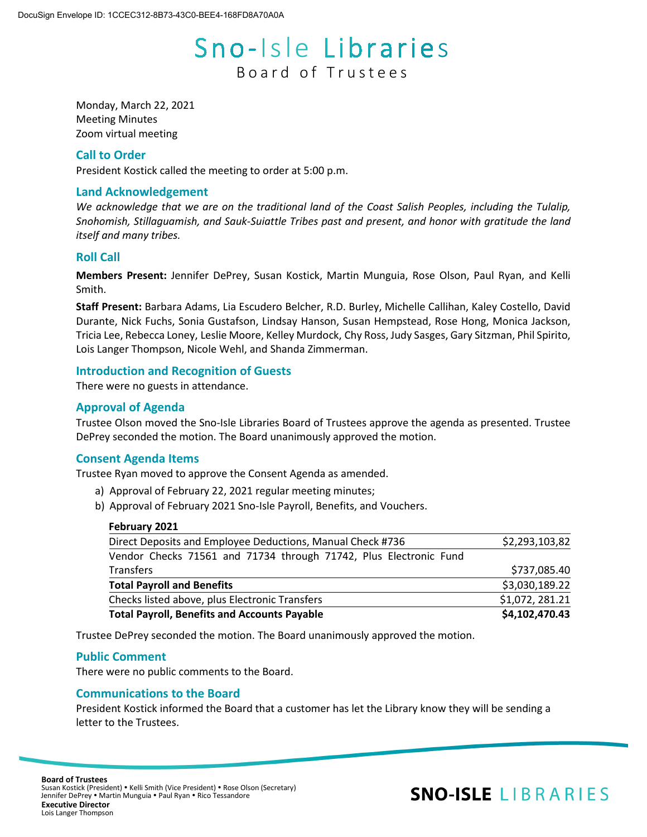# Sno-Isle Libraries Board of Trustees

Monday, March 22, 2021 Meeting Minutes Zoom virtual meeting

#### **Call to Order**

President Kostick called the meeting to order at 5:00 p.m.

#### **Land Acknowledgement**

*We acknowledge that we are on the traditional land of the Coast Salish Peoples, including the Tulalip, Snohomish, Stillaguamish, and Sauk-Suiattle Tribes past and present, and honor with gratitude the land itself and many tribes.*

#### **Roll Call**

**Members Present:** Jennifer DePrey, Susan Kostick, Martin Munguia, Rose Olson, Paul Ryan, and Kelli Smith.

**Staff Present:** Barbara Adams, Lia Escudero Belcher, R.D. Burley, Michelle Callihan, Kaley Costello, David Durante, Nick Fuchs, Sonia Gustafson, Lindsay Hanson, Susan Hempstead, Rose Hong, Monica Jackson, Tricia Lee, Rebecca Loney, Leslie Moore, Kelley Murdock, Chy Ross, Judy Sasges, Gary Sitzman, Phil Spirito, Lois Langer Thompson, Nicole Wehl, and Shanda Zimmerman.

## **Introduction and Recognition of Guests**

There were no guests in attendance.

## **Approval of Agenda**

Trustee Olson moved the Sno-Isle Libraries Board of Trustees approve the agenda as presented. Trustee DePrey seconded the motion. The Board unanimously approved the motion.

#### **Consent Agenda Items**

Trustee Ryan moved to approve the Consent Agenda as amended.

- a) Approval of February 22, 2021 regular meeting minutes;
- b) Approval of February 2021 Sno-Isle Payroll, Benefits, and Vouchers.

#### **February 2021**

| Direct Deposits and Employee Deductions, Manual Check #736        | \$2,293,103,82  |
|-------------------------------------------------------------------|-----------------|
| Vendor Checks 71561 and 71734 through 71742, Plus Electronic Fund |                 |
| Transfers                                                         | \$737,085.40    |
| <b>Total Payroll and Benefits</b>                                 | \$3,030,189.22  |
| Checks listed above, plus Electronic Transfers                    | \$1,072, 281.21 |
| <b>Total Payroll, Benefits and Accounts Payable</b>               | \$4,102,470.43  |

Trustee DePrey seconded the motion. The Board unanimously approved the motion.

#### **Public Comment**

There were no public comments to the Board.

#### **Communications to the Board**

President Kostick informed the Board that a customer has let the Library know they will be sending a letter to the Trustees.

## **SNO-ISLE LIBRARIES**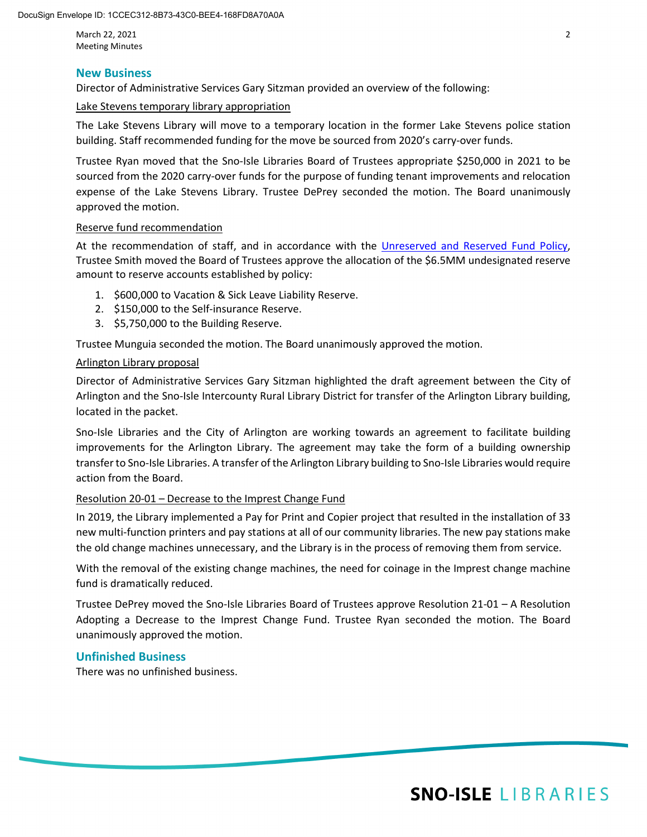March 22, 2021 2 Meeting Minutes

#### **New Business**

Director of Administrative Services Gary Sitzman provided an overview of the following:

#### Lake Stevens temporary library appropriation

The Lake Stevens Library will move to a temporary location in the former Lake Stevens police station building. Staff recommended funding for the move be sourced from 2020's carry-over funds.

Trustee Ryan moved that the Sno-Isle Libraries Board of Trustees appropriate \$250,000 in 2021 to be sourced from the 2020 carry-over funds for the purpose of funding tenant improvements and relocation expense of the Lake Stevens Library. Trustee DePrey seconded the motion. The Board unanimously approved the motion.

#### Reserve fund recommendation

At the recommendation of staff, and in accordance with the [Unreserved and Reserved Fund Policy,](https://www.sno-isle.org/policies-and-guidelines/unreserved-and-reserved-fund-policy/)  Trustee Smith moved the Board of Trustees approve the allocation of the \$6.5MM undesignated reserve amount to reserve accounts established by policy:

- 1. \$600,000 to Vacation & Sick Leave Liability Reserve.
- 2. \$150,000 to the Self-insurance Reserve.
- 3. \$5,750,000 to the Building Reserve.

Trustee Munguia seconded the motion. The Board unanimously approved the motion.

#### Arlington Library proposal

Director of Administrative Services Gary Sitzman highlighted the draft agreement between the City of Arlington and the Sno-Isle Intercounty Rural Library District for transfer of the Arlington Library building, located in the packet.

Sno-Isle Libraries and the City of Arlington are working towards an agreement to facilitate building improvements for the Arlington Library. The agreement may take the form of a building ownership transfer to Sno-Isle Libraries. A transfer of the Arlington Library building to Sno-Isle Libraries would require action from the Board.

#### Resolution 20-01 – Decrease to the Imprest Change Fund

In 2019, the Library implemented a Pay for Print and Copier project that resulted in the installation of 33 new multi-function printers and pay stations at all of our community libraries. The new pay stations make the old change machines unnecessary, and the Library is in the process of removing them from service.

With the removal of the existing change machines, the need for coinage in the Imprest change machine fund is dramatically reduced.

Trustee DePrey moved the Sno-Isle Libraries Board of Trustees approve Resolution 21-01 – A Resolution Adopting a Decrease to the Imprest Change Fund. Trustee Ryan seconded the motion. The Board unanimously approved the motion.

## **Unfinished Business**

There was no unfinished business.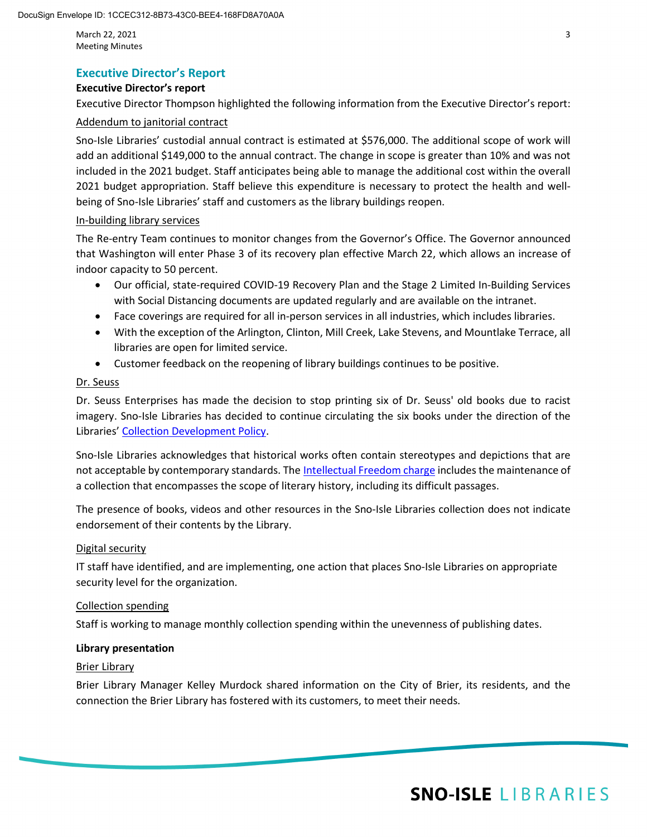March 22, 2021 3 Meeting Minutes

## **Executive Director's Report**

#### **Executive Director's report**

Executive Director Thompson highlighted the following information from the Executive Director's report:

#### Addendum to janitorial contract

Sno-Isle Libraries' custodial annual contract is estimated at \$576,000. The additional scope of work will add an additional \$149,000 to the annual contract. The change in scope is greater than 10% and was not included in the 2021 budget. Staff anticipates being able to manage the additional cost within the overall 2021 budget appropriation. Staff believe this expenditure is necessary to protect the health and wellbeing of Sno-Isle Libraries' staff and customers as the library buildings reopen.

#### In-building library services

The Re-entry Team continues to monitor changes from the Governor's Office. The Governor announced that Washington will enter Phase 3 of its recovery plan effective March 22, which allows an increase of indoor capacity to 50 percent.

- Our official, state-required COVID-19 Recovery Plan and the Stage 2 Limited In-Building Services with Social Distancing documents are updated regularly and are available on the intranet.
- Face coverings are required for all in-person services in all industries, which includes libraries.
- With the exception of the Arlington, Clinton, Mill Creek, Lake Stevens, and Mountlake Terrace, all libraries are open for limited service.
- Customer feedback on the reopening of library buildings continues to be positive.

#### Dr. Seuss

Dr. Seuss Enterprises has made the decision to stop printing six of Dr. Seuss' old books due to racist imagery. Sno-Isle Libraries has decided to continue circulating the six books under the direction of the Libraries[' Collection Development Policy.](https://www.sno-isle.org/policies-and-guidelines/collection-development-policy/)

Sno-Isle Libraries acknowledges that historical works often contain stereotypes and depictions that are not acceptable by contemporary standards. The [Intellectual Freedom charge](http://www.ala.org/tools/challengesupport/selectionpolicytoolkit/intellectualfreedom) includes the maintenance of a collection that encompasses the scope of literary history, including its difficult passages.

The presence of books, videos and other resources in the Sno-Isle Libraries collection does not indicate endorsement of their contents by the Library.

#### Digital security

IT staff have identified, and are implementing, one action that places Sno-Isle Libraries on appropriate security level for the organization.

#### Collection spending

Staff is working to manage monthly collection spending within the unevenness of publishing dates.

#### **Library presentation**

#### Brier Library

Brier Library Manager Kelley Murdock shared information on the City of Brier, its residents, and the connection the Brier Library has fostered with its customers, to meet their needs.

## **SNO-ISLE LIBRARIES**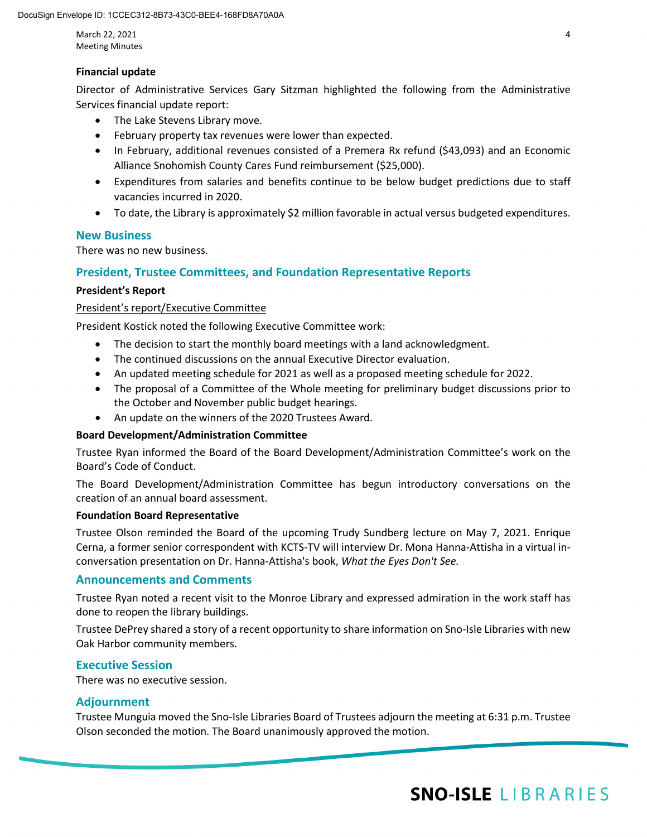March 22, 2021 4 Meeting Minutes

#### **Financial update**

Director of Administrative Services Gary Sitzman highlighted the following from the Administrative Services financial update report:

- The Lake Stevens Library move.
- February property tax revenues were lower than expected.
- In February, additional revenues consisted of a Premera Rx refund (\$43,093) and an Economic Alliance Snohomish County Cares Fund reimbursement (\$25,000).
- Expenditures from salaries and benefits continue to be below budget predictions due to staff vacancies incurred in 2020.
- To date, the Library is approximately \$2 million favorable in actual versus budgeted expenditures.

## **New Business**

There was no new business.

## **President, Trustee Committees, and Foundation Representative Reports**

#### **President's Report**

#### President's report/Executive Committee

President Kostick noted the following Executive Committee work:

- The decision to start the monthly board meetings with a land acknowledgment.
- The continued discussions on the annual Executive Director evaluation.
- An updated meeting schedule for 2021 as well as a proposed meeting schedule for 2022.
- The proposal of a Committee of the Whole meeting for preliminary budget discussions prior to the October and November public budget hearings.
- An update on the winners of the 2020 Trustees Award.

#### **Board Development/Administration Committee**

Trustee Ryan informed the Board of the Board Development/Administration Committee's work on the Board's Code of Conduct.

The Board Development/Administration Committee has begun introductory conversations on the creation of an annual board assessment.

#### **Foundation Board Representative**

Trustee Olson reminded the Board of the upcoming Trudy Sundberg lecture on May 7, 2021. Enrique Cerna, a former senior correspondent with KCTS-TV will interview Dr. Mona Hanna-Attisha in a virtual inconversation presentation on Dr. Hanna-Attisha's book, *What the Eyes Don't See.*

#### **Announcements and Comments**

Trustee Ryan noted a recent visit to the Monroe Library and expressed admiration in the work staff has done to reopen the library buildings.

Trustee DePrey shared a story of a recent opportunity to share information on Sno-Isle Libraries with new Oak Harbor community members.

#### **Executive Session**

There was no executive session.

#### **Adjournment**

Trustee Munguia moved the Sno-Isle Libraries Board of Trustees adjourn the meeting at 6:31 p.m. Trustee Olson seconded the motion. The Board unanimously approved the motion.